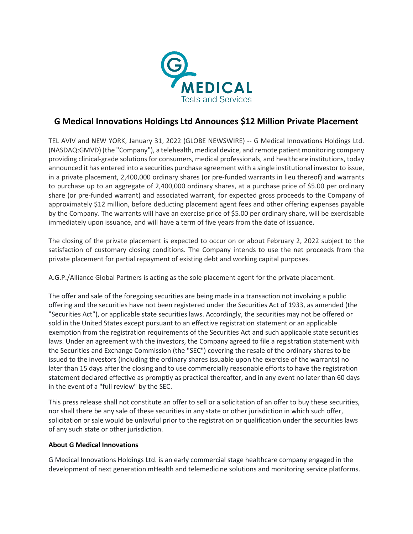

## **G Medical Innovations Holdings Ltd Announces \$12 Million Private Placement**

TEL AVIV and NEW YORK, January 31, 2022 (GLOBE NEWSWIRE) -- G Medical Innovations Holdings Ltd. (NASDAQ:GMVD) (the "Company"), a telehealth, medical device, and remote patient monitoring company providing clinical-grade solutions for consumers, medical professionals, and healthcare institutions, today announced it has entered into a securities purchase agreement with a single institutional investor to issue, in a private placement, 2,400,000 ordinary shares (or pre-funded warrants in lieu thereof) and warrants to purchase up to an aggregate of 2,400,000 ordinary shares, at a purchase price of \$5.00 per ordinary share (or pre-funded warrant) and associated warrant, for expected gross proceeds to the Company of approximately \$12 million, before deducting placement agent fees and other offering expenses payable by the Company. The warrants will have an exercise price of \$5.00 per ordinary share, will be exercisable immediately upon issuance, and will have a term of five years from the date of issuance.

The closing of the private placement is expected to occur on or about February 2, 2022 subject to the satisfaction of customary closing conditions. The Company intends to use the net proceeds from the private placement for partial repayment of existing debt and working capital purposes.

A.G.P./Alliance Global Partners is acting as the sole placement agent for the private placement.

The offer and sale of the foregoing securities are being made in a transaction not involving a public offering and the securities have not been registered under the Securities Act of 1933, as amended (the "Securities Act"), or applicable state securities laws. Accordingly, the securities may not be offered or sold in the United States except pursuant to an effective registration statement or an applicable exemption from the registration requirements of the Securities Act and such applicable state securities laws. Under an agreement with the investors, the Company agreed to file a registration statement with the Securities and Exchange Commission (the "SEC") covering the resale of the ordinary shares to be issued to the investors (including the ordinary shares issuable upon the exercise of the warrants) no later than 15 days after the closing and to use commercially reasonable efforts to have the registration statement declared effective as promptly as practical thereafter, and in any event no later than 60 days in the event of a "full review" by the SEC.

This press release shall not constitute an offer to sell or a solicitation of an offer to buy these securities, nor shall there be any sale of these securities in any state or other jurisdiction in which such offer, solicitation or sale would be unlawful prior to the registration or qualification under the securities laws of any such state or other jurisdiction.

## **About G Medical Innovations**

G Medical Innovations Holdings Ltd. is an early commercial stage healthcare company engaged in the development of next generation mHealth and telemedicine solutions and monitoring service platforms.